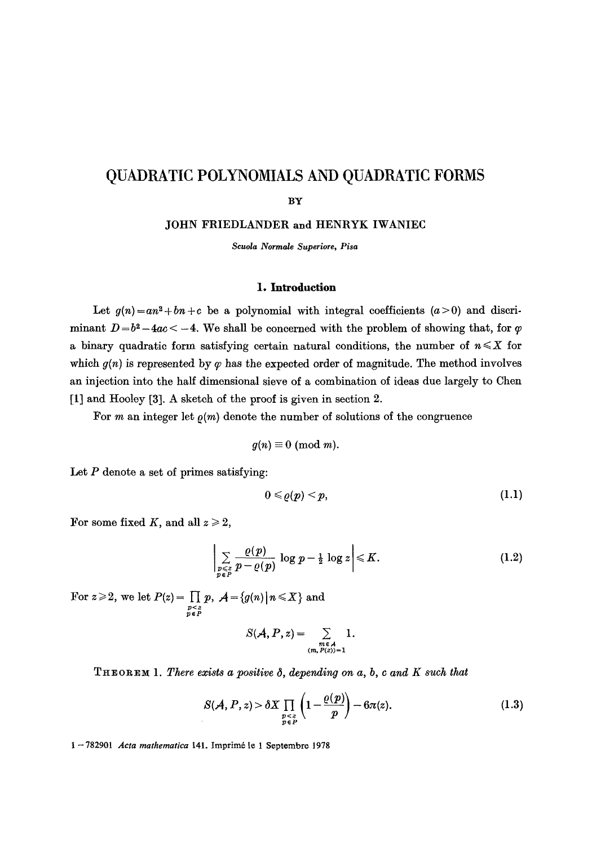# **QUADRATIC POLYNOMIALS AND QUADRATIC FORMS**

## BY

JOHN FRIEDLANDER **and** HENRYK IWANIEC

*Scuola Normale Superiore, Pisa* 

#### **I. Introduction**

Let  $g(n) = an^2 + bn + c$  be a polynomial with integral coefficients  $(a>0)$  and discriminant  $D = b^2 - 4ac < -4$ . We shall be concerned with the problem of showing that, for  $\varphi$ a binary quadratic form satisfying certain natural conditions, the number of  $n \leq X$  for which  $g(n)$  is represented by  $\varphi$  has the expected order of magnitude. The method involves an injection into the half dimensional sieve of a combination of ideas due largely to Chen [1] and Hooley [3]. A sketch of the proof is given in section 2.

For m an integer let  $\rho(m)$  denote the number of solutions of the congruence

$$
g(n) \equiv 0 \pmod{m}.
$$

Let  $P$  denote a set of primes satisfying:

$$
0\leqslant\varrho(p)
$$

For some fixed K, and all  $z \geq 2$ ,

$$
\left|\sum_{\substack{p\leqslant z\\p\in P}}\frac{\varrho(p)}{p-\varrho(p)}\log p-\tfrac{1}{2}\log z\right|\leqslant K.\tag{1.2}
$$

For  $z \geqslant 2$ , we let  $P(z) = \prod_{\substack{p \leqslant z \\ p \in P}} p$ ,  $\mathcal{A} = \{g(n) | n \leqslant X\}$  and

$$
S(\mathcal{A}, P, z) = \sum_{\substack{m \in \mathcal{A} \\ (m, P(z))=1}} 1.
$$

 $T_{\text{HEOREM 1}}$ . *There exists a positive*  $\delta$ *, depending on a, b, c and K such that* 

$$
S(\mathcal{A}, P, z) > \delta X \prod_{\substack{p < z \\ p \in P}} \left( 1 - \frac{\varrho(p)}{p} \right) - 6\pi(z). \tag{1.3}
$$

1--782901 *Acta mathematica* 141. Imprim6 le 1 Septernbre 1978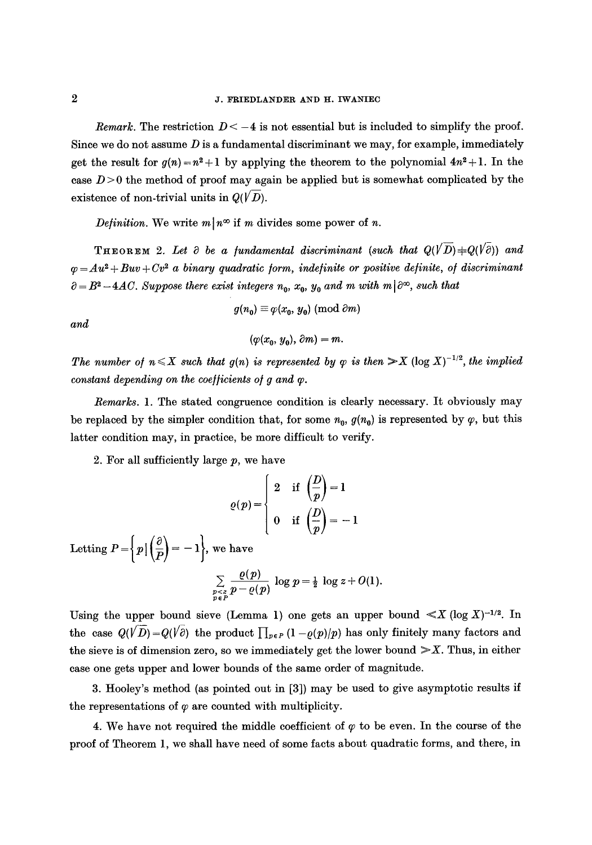*Remark.* The restriction  $D < -4$  is not essential but is included to simplify the proof. Since we do not assume  $D$  is a fundamental discriminant we may, for example, immediately get the result for  $g(n)=n^2+1$  by applying the theorem to the polynomial  $4n^2+1$ . In the case  $D > 0$  the method of proof may again be applied but is somewhat complicated by the existence of non-trivial units in  $Q(VD)$ .

*Definition.* We write  $m \mid n^{\infty}$  if m divides some power of n.

THEOREM 2. Let  $\partial$  be a fundamental discriminant (such that  $Q(V\overline{D})+Q(V\overline{\partial})$ ) and  $q = Au^2 + Buv + Cv^2$  *a binary quadratic form, indefinite or positive definite, of discriminant*  $a = B^2 - 4AC$ . Suppose there exist integers  $n_0$ ,  $x_0$ ,  $y_0$  and m with m  $\partial^{\infty}$ , such that

$$
g(n_0) \equiv \varphi(x_0, y_0) \pmod{\partial m}
$$

*and* 

$$
(\varphi(x_0,\,y_0),\,\partial m)=m.
$$

*The number of*  $n \leq X$  *such that g(n) is represented by*  $\varphi$  *is then*  $\gg X$  (log  $X$ )<sup>-1/2</sup>, the *implied*  $constant\ depending\ on\ the\ coefficients\ of\ g\ and\ \varphi.$ 

*Remarks.* 1. The stated congruence condition is clearly necessary. It obviously may be replaced by the simpler condition that, for some  $n_0$ ,  $g(n_0)$  is represented by  $\varphi$ , but this latter condition may, in practice, be more difficult to verify.

2. For all sufficiently large *p,* we have

$$
\varrho(p) = \begin{cases} 2 & \text{if } \left(\frac{D}{p}\right) = 1 \\ 0 & \text{if } \left(\frac{D}{p}\right) = -1 \end{cases}
$$
  
Letting  $P = \left\{ p \mid \left(\frac{\partial}{P}\right) = -1 \right\}$ , we have  

$$
\sum_{\substack{p < z \\ p \in P}} \frac{\varrho(p)}{p - \varrho(p)} \log p = \frac{1}{2} \log z + O(1).
$$

Using the upper bound sieve (Lemma 1) one gets an upper bound  $\ll X$  (log  $X$ )<sup>-1/2</sup>. In the case  $Q(\sqrt{D})=Q(\sqrt{\partial})$  the product  $\prod_{p\in P}(1-\rho(p)/p)$  has only finitely many factors and the sieve is of dimension zero, so we immediately get the lower bound  $\gg X$ . Thus, in either case one gets upper and lower bounds of the same order of magnitude.

3. Hooley's method (as pointed out in [3]) may be used to give asymptotic results if the representations of  $\varphi$  are counted with multiplicity.

4. We have not required the middle coefficient of  $\varphi$  to be even. In the course of the proof of Theorem 1, we shall have need of some facts about quadratic forms, and there, in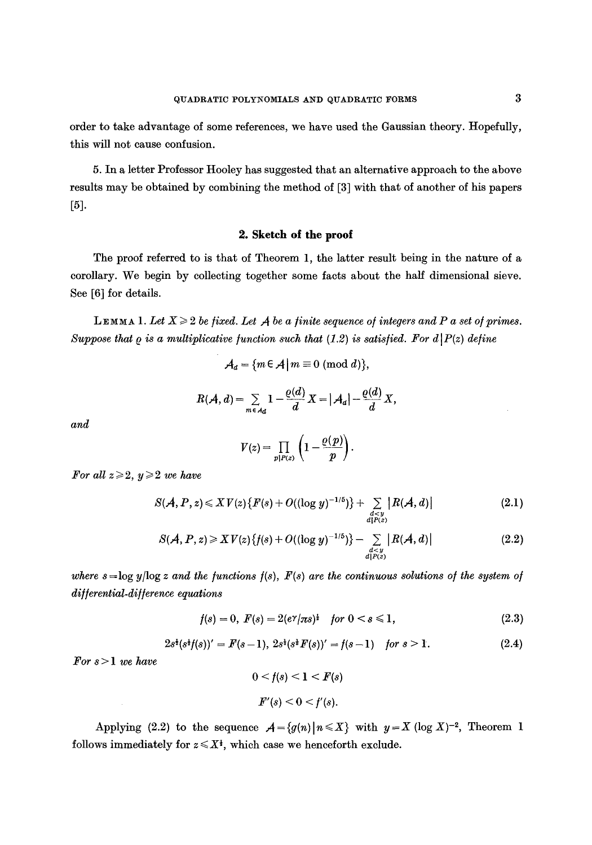order to take advantage of some references, we have used the Gaussian theory. Hopefully, this will not cause confusion.

5. In a letter Professor Hooley has suggested that an alternative approach to the above results may be obtained by combining the method of [3] with that of another of his papers [5].

## **2. Sketch of the proof**

The proof referred to is that of Theorem 1, the latter result being in the nature of a corollary. We begin by collecting together some facts about the half dimensional sieve. See [6] for details.

**LEMMA 1.** Let  $X \geq 2$  be fixed. Let A be a finite sequence of integers and P a set of primes. *Suppose that*  $\varrho$  *is a multiplicative function such that (1.2) is satisfied. For d|P(z) define* 

$$
\mathcal{A}_d = \{m \in \mathcal{A} \mid m \equiv 0 \pmod{d}\},\
$$

$$
R(\mathcal{A},d)=\sum_{m\in\mathcal{A}_d}1-\frac{\varrho(d)}{d}X=|\mathcal{A}_d|-\frac{\varrho(d)}{d}X,
$$

*and* 

$$
V(z) = \prod_{p|P(z)} \left(1 - \frac{\varrho(p)}{p}\right).
$$

*For all*  $z \ge 2$ ,  $y \ge 2$  *we have* 

$$
S(A, P, z) \leqslant XV(z) \{ F(s) + O((\log y)^{-1/5}) \} + \sum_{\substack{d < y \\ d | P(z)}} |R(A, d)| \tag{2.1}
$$

$$
S(A, P, z) \geqslant XV(z) \{ f(s) + O((\log y)^{-1/5}) \} - \sum_{\substack{d < y \\ d|P(z)}} |R(A, d)| \tag{2.2}
$$

where  $s = \log y / \log z$  and the functions  $f(s)$ ,  $F(s)$  are the continuous solutions of the system of *di//erential-di//erenee equations* 

$$
f(s) = 0, \ F(s) = 2(e^{\gamma}/\pi s)^{\frac{1}{2}} \quad \text{for } 0 < s \leq 1,\tag{2.3}
$$

$$
2s1(s1f(s))' = F(s-1), 2s1(s1F(s))' = f(s-1) \text{ for } s > 1.
$$
 (2.4)

*For s > 1 we have* 

$$
0 < f(s) < 1 < F(s)
$$
\n
$$
F'(s) < 0 < f'(s).
$$

Applying (2.2) to the sequence  $A = \{g(n) | n \leq X\}$  with  $y = X$  (log X)<sup>-2</sup>, Theorem 1 follows immediately for  $z \leq X^{\dagger}$ , which case we henceforth exclude.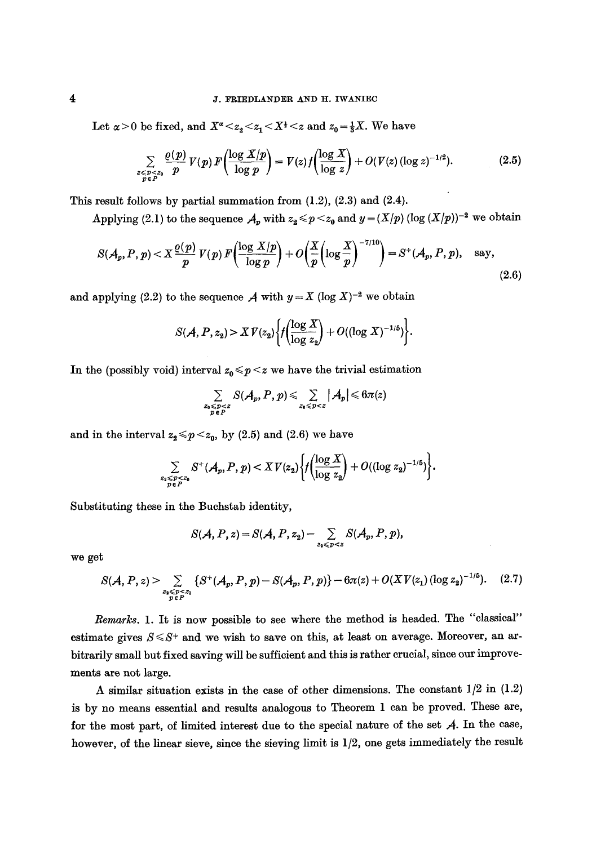#### **4 J. FRIEDLANDER AND H. IWANIEC**

Let  $\alpha > 0$  be fixed, and  $X^{\alpha} < z_2 < z_1 < X^{\dagger} < z$  and  $z_0 = \frac{1}{3}X$ . We have

$$
\sum_{\substack{z \leq p \leq z_0 \\ p \in P}} \frac{\varrho(p)}{p} \, V(p) \, F\!\left(\frac{\log X/p}{\log p}\right) = V(z) \, f\!\left(\frac{\log X}{\log z}\right) + O\!\left(V(z)\left(\log z\right)^{-1/2}\right). \tag{2.5}
$$

This result follows by partial summation from  $(1.2)$ ,  $(2.3)$  and  $(2.4)$ .

Applying (2.1) to the sequence  $A_p$  with  $z_2 \leq p \leq z_0$  and  $y = (X/p) (\log (X/p))^{-2}$  we obtain

$$
S(\mathcal{A}_p, P, p) < X \frac{\varrho(p)}{p} V(p) F\left(\frac{\log X/p}{\log p}\right) + O\left(\frac{X}{p}\left(\log \frac{X}{p}\right)^{-7/10}\right) = S^+(\mathcal{A}_p, P, p), \quad \text{say},\tag{2.6}
$$

and applying (2.2) to the sequence  $A$  with  $y = X (\log X)^{-2}$  we obtain

$$
S(\mathcal{A}, P, z_2) > X V(z_2) \bigg\{ f\bigg(\frac{\log X}{\log z_2}\bigg) + O((\log X)^{-1/5}) \bigg\}.
$$

In the (possibly void) interval  $z_0 \leq p \leq z$  we have the trivial estimation

$$
\sum_{\substack{z_0 \leqslant p < z \\ p \in P}} S(\mathcal{A}_p, P, p) \leqslant \sum_{z_0 \leqslant p < z} |\mathcal{A}_p| \leqslant 6\pi(z)
$$

and in the interval  $z_2 \leq p \leq z_0$ , by (2.5) and (2.6) we have

$$
\sum_{\substack{z_1 \leq p \leq z_0 \\ p \in P}} S^+(\mathcal{A}_p, P, p) < XY(z_2) \bigg\{ f\bigg(\frac{\log X}{\log z_2}\bigg) + O((\log z_2)^{-1/5}) \bigg\}.
$$

Substituting these in the Buehstab identity,

$$
S(\mathcal{A}, P, z) = S(\mathcal{A}, P, z_2) - \sum_{z_1 \leq p < z} S(\mathcal{A}_p, P, p),
$$

we get

$$
S(\mathcal{A}, P, z) > \sum_{\substack{z_1 \leq p < z_1 \\ p \in P}} \{ S^+(\mathcal{A}_p, P, p) - S(\mathcal{A}_p, P, p) \} - 6\pi(z) + O(XV(z_1) (\log z_2)^{-1/5}). \tag{2.7}
$$

*Remarks.* 1. It is now possible to see where the method is headed. The "classical" estimate gives  $S \leq S^+$  and we wish to save on this, at least on average. Moreover, an arbitrarily small but fixed saving will be sufficient and this is rather crucial, since our improvements are not large.

A similar situation exists in the case of other dimensions. The constant  $1/2$  in  $(1.2)$ is by no means essential and results analogous to Theorem 1 can be proved. These are, for the most part, of limited interest due to the special nature of the set  $A$ . In the case, however, of the linear sieve, since the sieving limit is 1/2, one gets immediately the result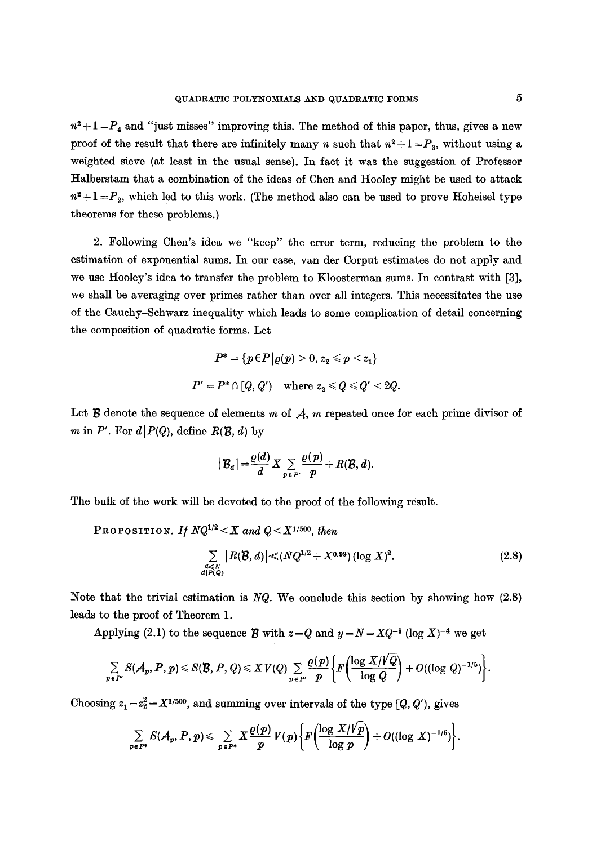$n^2+1=P_4$  and "just misses" improving this. The method of this paper, thus, gives a new proof of the result that there are infinitely many n such that  $n^2 + 1 = P_3$ , without using a weighted sieve (at least in the usual sense). In fact it was the suggestion of Professor Halberstam that a combination of the ideas of Chen and Hooley might be used to attack  $n^2+1=P_2$ , which led to this work. (The method also can be used to prove Hoheisel type theorems for these problems.)

2. Following Chen's idea we "keep" the error term, reducing the problem to the estimation of exponential sums. In our case, van der Corput estimates do not apply and we use Hooley's idea to transfer the problem to Kloosterman sums. In contrast with [3], we shall be averaging over primes rather than over all integers. This necessitates the use of the Cauchy-Schwarz inequality which leads to some complication of detail concerning the composition of quadratic forms. Let

$$
P^* = \{p \in P \big| \varrho(p) > 0, \, z_2 \leqslant p < z_1\}
$$
  

$$
P' = P^* \cap [Q, Q') \quad \text{where } z_2 \leqslant Q \leqslant Q' < 2Q.
$$

Let  $\mathcal B$  denote the sequence of elements m of  $\mathcal A$ , m repeated once for each prime divisor of m in P'. For  $d|P(Q)$ , define  $R(\mathcal{B}, d)$  by

$$
|\mathcal{B}_d| = \frac{\varrho(d)}{d} X \sum_{p \in P'} \frac{\varrho(p)}{p} + R(\mathcal{B}, d).
$$

The bulk of the work will be devoted to the proof of the following result.

PROPOSITION. *If*  $NQ^{1/2} < X$  and  $Q < X^{1/500}$ , then

$$
\sum_{\substack{d \leq N \\ d \mid P(Q)}} |R(\mathcal{B}, d)| \ll (NQ^{1/2} + X^{0.99}) (\log X)^2.
$$
 (2.8)

Note that the trivial estimation is *NQ.* We conclude this section by showing how (2.8) leads to the proof of Theorem 1.

Applying (2.1) to the sequence **B** with  $z=Q$  and  $y=N=XQ^{-\frac{1}{2}}(\log X)^{-4}$  we get

$$
\sum_{p\in P'} S(\mathcal{A}_p, P, p) \leqslant S(\mathcal{B}, P, Q) \leqslant XY(Q) \sum_{p\in P'} \frac{\varrho(p)}{p} \bigg\{ F\bigg(\frac{\log X/\sqrt{Q}}{\log Q}\bigg) + O((\log Q)^{-1/5}) \bigg\}.
$$

Choosing  $z_1 = z_2^2 = X^{1/500}$ , and summing over intervals of the type  $[Q, Q')$ , gives

$$
\sum_{p\in P^*} S(A_p, P, p) \leq \sum_{p\in P^*} X \frac{\varrho(p)}{p} V(p) \bigg\{ F\bigg(\frac{\log X/\cancel{V}p}{\log p}\bigg) + O((\log X)^{-1/5}) \bigg\}.
$$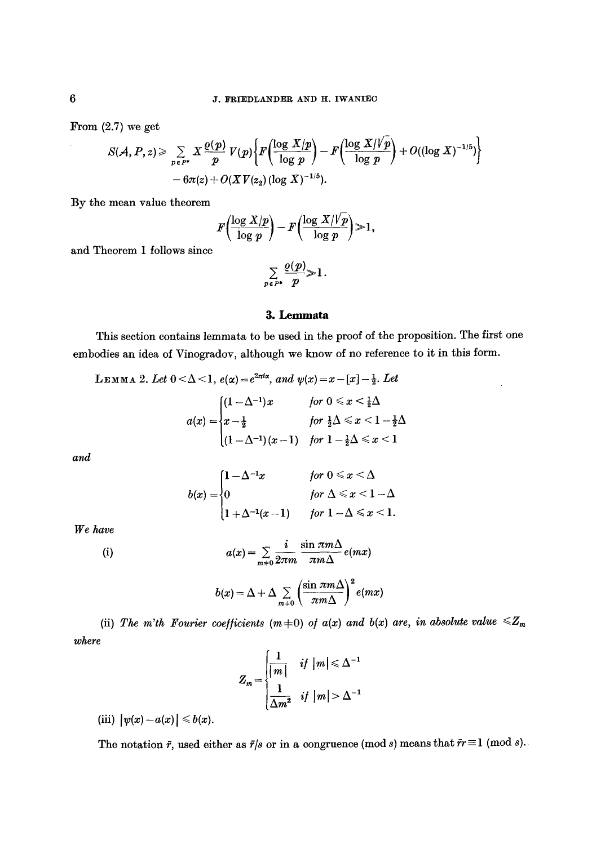From  $(2.7)$  we get

$$
S(\mathcal{A}, P, z) \geqslant \sum_{p \in P^*} X \frac{\varrho(p)}{p} V(p) \bigg\{ F\bigg(\frac{\log X/p}{\log p}\bigg) - F\bigg(\frac{\log X/\sqrt[p]{p}}{\log p}\bigg) + O((\log X)^{-1/5}) \bigg\} - 6\pi(z) + O(XV(z_2) (\log X)^{-1/5}).
$$

By the mean value theorem

$$
F\left(\frac{\log X/p}{\log p}\right) - F\left(\frac{\log X/\sqrt{p}}{\log p}\right) > 1,
$$

and Theorem 1 follows since

$$
\sum_{p\in P^*}\frac{\varrho(p)}{p}\geq 1.
$$

## **3. Lemmata**

This section contains lemmata to be used in the proof of the proposition. The first one embodies an idea of Vinogradov, although we know of no reference to it in this form.

$$
\begin{aligned} \text{Lemma 2. } Let \ 0 &< \Delta < 1, \ e(\alpha) = e^{2\pi t \alpha}, \ and \ \psi(x) = x - [x] - \frac{1}{2}. \ Let \ a(x) = \begin{cases} (1 - \Delta^{-1})x & \text{for } 0 \leq x < \frac{1}{2}\Delta \\ x - \frac{1}{2} & \text{for } \frac{1}{2}\Delta \leq x < 1 - \frac{1}{2}\Delta \\ (1 - \Delta^{-1})(x - 1) & \text{for } 1 - \frac{1}{2}\Delta \leq x < 1 \end{cases} \end{aligned}
$$

and

$$
b(x) = \begin{cases} 1 - \Delta^{-1}x & \text{for } 0 \leq x < \Delta \\ 0 & \text{for } \Delta \leq x < 1 - \Delta \\ 1 + \Delta^{-1}(x - 1) & \text{for } 1 - \Delta \leq x < 1. \end{cases}
$$

*We have* 

(i) 
$$
a(x) = \sum_{m+0} \frac{i}{2\pi m} \frac{\sin \pi m \Delta}{\pi m \Delta} e(mx)
$$

$$
b(x) = \Delta + \Delta \sum_{m+0} \left( \frac{\sin \pi m \Delta}{\pi m \Delta} \right)^2 e(mx)
$$

*where*  (ii) The m'th Fourier coefficients  $(m+0)$  of  $a(x)$  and  $b(x)$  are, in absolute value  $\leq Z_m$ 

$$
Z_m = \begin{cases} \frac{1}{|m|} & \text{if } |m| \leq \Delta^{-1} \\ \frac{1}{\Delta m^2} & \text{if } |m| > \Delta^{-1} \end{cases}
$$

(iii)  $| \psi(x) - a(x) | \le b(x)$ .

The notation  $\tilde{r}$ , used either as  $\tilde{r}/s$  or in a congruence (mod s) means that  $\tilde{r}r \equiv 1 \pmod{s}$ .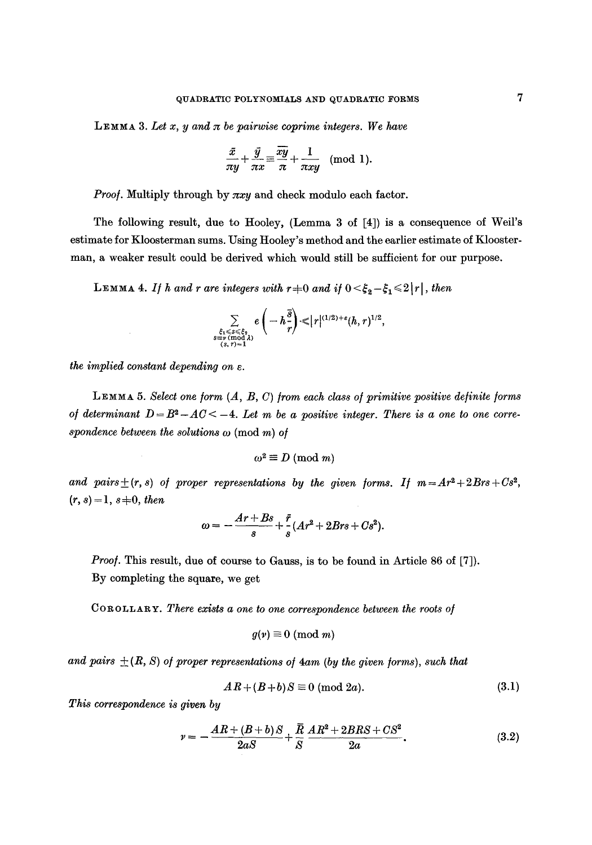**LEMMA** 3. Let x, y and  $\pi$  be pairwise coprime integers. We have

$$
\frac{\bar{x}}{\pi y} + \frac{\bar{y}}{\pi x} \equiv \frac{\bar{x}\bar{y}}{\pi} + \frac{1}{\pi xy} \pmod{1}.
$$

*Proof.* Multiply through by  $\pi xy$  and check modulo each factor.

The following result, due to Hooley, (Lemma 3 of [4]) is a consequence of Weil's estimate for Kloosterman sums. Using Hooley's method and the earlier estimate of Kloosterman, a weaker result could be derived which would still be sufficient for our purpose.

**LEMMA 4.** If h and r are integers with  $r+0$  and if  $0 \leq \xi_2 - \xi_1 \leq 2|r|$ , then

$$
\sum_{\substack{\xi_1<\mathcal{S}\leqslant\xi_2\\ \mathcal{S}\equiv\mathcal{S}\pmod{\lambda}\\ (s,r)=1}}e\left(-h\frac{\bar{s}}{r}\right)\leqslant \lvert r\rvert^{(1/2)+\varepsilon}(h,r)^{1/2},
$$

*the implied constant depending on e.* 

LEMMA 5. Select one form  $(A, B, C)$  from each class of primitive positive definite forms *of determinant*  $D = B^2 - AC < -4$ *. Let m be a positive integer. There is a one to one corre*spondence between the solutions  $\omega$  (mod m) of

$$
\omega^2 \equiv D \pmod{m}
$$

and pairs  $\pm (r, s)$  of proper representations by the given forms. If  $m = Ar^2 + 2Brs + Cs^2$ ,  $(r, s) = 1, s \neq 0, then$ 

$$
\omega=-\frac{Ar+Bs}{s}+\frac{\bar{r}}{s}(Ar^2+2Brs+Cs^2).
$$

*Proof.* This result, due of course to Gauss, is to be found in Article 86 of [7]). By completing the square, we get

COROLLARY. *There exists a one to one correspondence between the roots o]* 

$$
g(v) \equiv 0 \pmod{m}
$$

and pairs  $+(R, S)$  of proper representations of  $4am$  (by the given forms), such that

$$
AR + (B + b)S \equiv 0 \pmod{2a}.
$$
 (3.1)

*This correspondence is given by* 

$$
v = -\frac{AR + (B + b)S}{2aS} + \frac{\overline{R}}{S} \frac{AR^2 + 2BRS + CS^2}{2a}.
$$
 (3.2)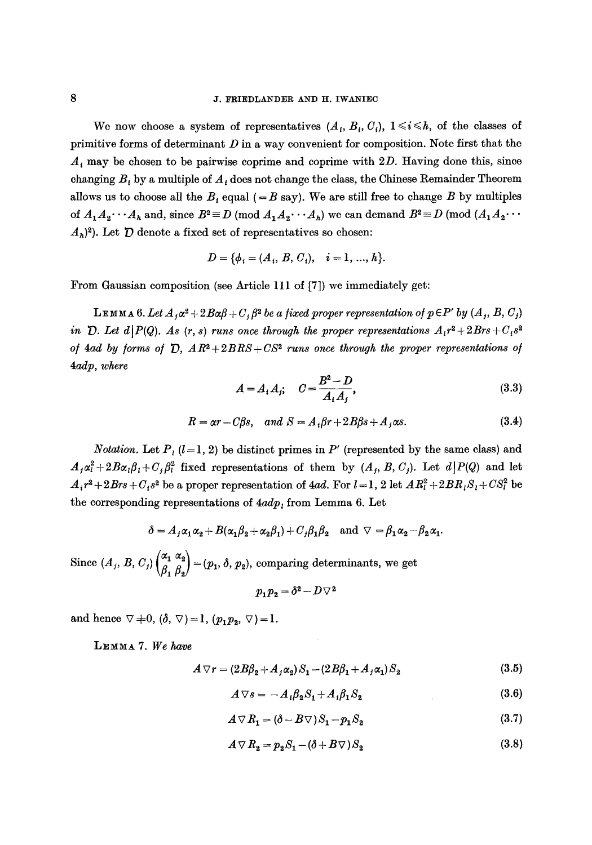#### J. FRIEDLANDER AND H. IWANIEC

We now choose a system of representatives  $(A_i, B_i, C_i)$ ,  $1 \le i \le h$ , of the classes of primitive forms of determinant  $D$  in a way convenient for composition. Note first that the  $A_i$  may be chosen to be pairwise coprime and coprime with 2D. Having done this, since changing  $B_t$  by a multiple of  $A_t$  does not change the class, the Chinese Remainder Theorem allows us to choose all the  $B_i$  equal (= B say). We are still free to change B by multiples of  $A_1A_2\cdots A_k$  and, since  $B^2 \equiv D \pmod{A_1A_2\cdots A_k}$  we can demand  $B^2 \equiv D \pmod{(A_1A_2\cdots A_k)}$  $(A_h)^2$ ). Let  $\bar{D}$  denote a fixed set of representatives so chosen:

$$
D = \{ \phi_i = (A_i, B, C_i), \quad i = 1, ..., h \}.
$$

From Gaussian composition (see Article 111 of [7]) we immediately get:

 $L$ **EMMA** 6. Let  $A_i \alpha^2 + 2B\alpha\beta + C_i \beta^2$  be a fixed proper representation of  $p \in P'$  by  $(A_i, B, C_j)$ *in*  $\mathcal{D}$ . Let  $d|P(Q)$ . As  $(r, s)$  *runs once through the proper representations*  $A_i r^2 + 2Brs + C_i s^2$ *of 4ad by forms of*  $\overline{D}$ *,*  $AR^2+2BRS+CS^2$  *runs once through the proper representations of 4adp, where* 

$$
A = A_1 A_j; \quad C = \frac{B^2 - D}{A_1 A_j}, \tag{3.3}
$$

$$
R = \alpha r - C\beta s, \quad and \quad S = A_i \beta r + 2B\beta s + A_j \alpha s. \tag{3.4}
$$

*Notation.* Let  $P_i$  ( $l = 1, 2$ ) be distinct primes in P' (represented by the same class) and  $A_j \alpha_i^2 + 2B\alpha_j \beta_i + C_j \beta_i^2$  fixed representations of them by  $(A_j, B, C_j)$ . Let  $d|P(Q)$  and let  $A_i r^2 + 2Brs + C_i s^2$  be a proper representation of 4ad. For  $l = 1, 2$  let  $AR_i^2 + 2BR_iS_i + CS_i^2$  be the corresponding representations of  $4adp$ , from Lemma 6. Let

$$
\delta = A_j \alpha_1 \alpha_2 + B(\alpha_1 \beta_2 + \alpha_2 \beta_1) + C_j \beta_1 \beta_2 \text{ and } \nabla = \beta_1 \alpha_2 - \beta_2 \alpha_1.
$$

Since  $(A_j, B, C_j)$   $\begin{pmatrix} \alpha_1 & \alpha_2 \\ \beta_1 & \beta_2 \end{pmatrix} = (p_1, \delta, p_2)$ , comparing determinants, we get

$$
p_1p_2=\delta^2-D\triangledown^2
$$

and hence  $\nabla \neq 0$ ,  $(\delta, \nabla) = 1$ ,  $(p_1p_2, \nabla) = 1$ .

LEMMA 7. We have

$$
A \nabla r = (2B\beta_2 + A_j\alpha_2)S_1 - (2B\beta_1 + A_j\alpha_1)S_2 \tag{3.5}
$$

$$
A \nabla s = -A_1 \beta_2 S_1 + A_1 \beta_1 S_2 \tag{3.6}
$$

$$
A \nabla R_1 = (\delta - B \nabla) S_1 - p_1 S_2 \tag{3.7}
$$

$$
A \triangledown R_2 = p_2 S_1 - (\delta + B \triangledown) S_2 \tag{3.8}
$$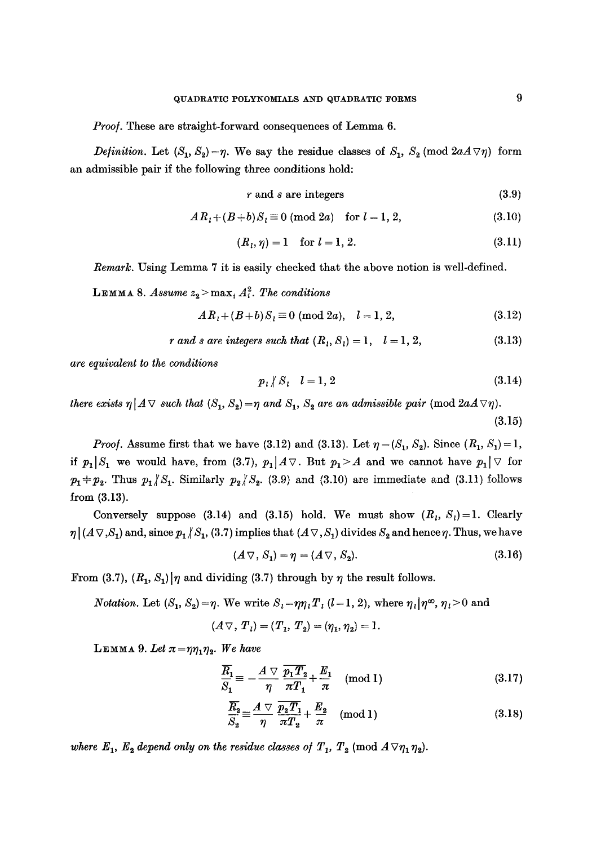*Proo].* These are straight-forward consequences of Lemma 6.

*Definition.* Let  $(S_1, S_2) = \eta$ . We say the residue classes of  $S_1$ ,  $S_2$  (mod  $2aA \nabla \eta$ ) form an admissible pair if the following three conditions hold:

$$
r \text{ and } s \text{ are integers} \tag{3.9}
$$

$$
ARl + (B+b)Sl \equiv 0 \pmod{2a} \quad \text{for } l = 1, 2,
$$
 (3.10)

$$
(R_l, \eta) = 1 \quad \text{for } l = 1, 2. \tag{3.11}
$$

*Remark.* Using Lemma 7 it is easily checked that the above notion is well-defined.

LEMMA 8. *Assume*  $z_2$  > max<sub>i</sub>  $A_i^2$ . The conditions

$$
ARl + (B+b)Sl \equiv 0 \pmod{2a}, \quad l = 1, 2,
$$
 (3.12)

$$
r \text{ and } s \text{ are integers such that } (R_1, S_1) = 1, \quad l = 1, 2,
$$
 (3.13)

*are equivalent to the conditiows* 

$$
p_i \nmid S_i \quad l = 1, 2 \tag{3.14}
$$

*there exists*  $\eta | A \vee \text{ such that } (S_1, S_2) = \eta \text{ and } S_1, S_2 \text{ are an admissible pair } (\text{mod } 2aA \vee \eta).$ (3.15)

*Proof.* Assume first that we have (3.12) and (3.13). Let  $\eta = (S_1, S_2)$ . Since  $(R_1, S_1) = 1$ , if  $p_1|S_1$  we would have, from (3.7),  $p_1|A \triangledown$ . But  $p_1 > A$  and we cannot have  $p_1 | \triangledown$  for  $p_1+p_2$ . Thus  $p_1/S_1$ . Similarly  $p_2/S_2$ . (3.9) and (3.10) are immediate and (3.11) follows from (3.13).

Conversely suppose (3.14) and (3.15) hold. We must show  $(R_i, S_i)=1$ . Clearly  $\eta | (A \nabla, S_1)$  and, since  $p_1 / S_1$ , (3.7) implies that  $(A \nabla, S_1)$  divides  $S_2$  and hence  $\eta$ . Thus, we have

$$
(A \triangledown, S_1) = \eta = (A \triangledown, S_2). \tag{3.16}
$$

From (3.7),  $(R_1, S_1)$  | $\eta$  and dividing (3.7) through by  $\eta$  the result follows.

*Notation.* Let  $(S_1, S_2) = \eta$ . We write  $S_i = \eta \eta_i T_i$  (*l* = 1, 2), where  $\eta_i | \eta^{\infty}, \eta_i > 0$  and

$$
(A \triangledown, T_1) = (T_1, T_2) = (\eta_1, \eta_2) = 1.
$$

LEMMA 9. Let  $\pi = \eta \eta_1 \eta_2$ . We have

$$
\frac{\overline{R}_1}{S_1} \equiv -\frac{A \nabla}{\eta} \frac{\overline{p_1 T_2}}{\pi T_1} + \frac{E_1}{\pi} \pmod{1} \tag{3.17}
$$

$$
\frac{\overline{R_2}}{S_2} \equiv \frac{A \nabla}{\eta} \frac{\overline{p_2 T_1}}{\pi T_2} + \frac{E_2}{\pi} \pmod{1} \tag{3.18}
$$

*where*  $E_1$ ,  $E_2$  depend only on the residue classes of  $T_1$ ,  $T_2$  (mod  $A \triangledown \eta_1 \eta_2$ ).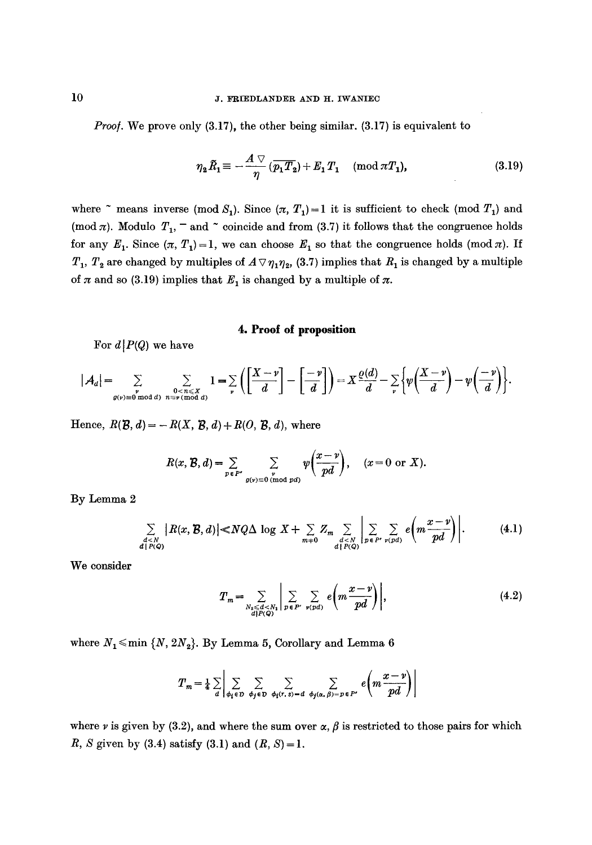*Proof.* We prove only (3.17), the other being similar. (3.17) is equivalent to

$$
\eta_2 \tilde{R}_1 \equiv -\frac{A \vee}{\eta} \left( \overline{p_1 T_2} \right) + E_1 T_1 \pmod{\pi T_1},\tag{3.19}
$$

where  $\tilde{ }$  means inverse (mod S<sub>1</sub>). Since  $(\pi, T_1)=1$  it is sufficient to check (mod  $T_1$ ) and (mod  $\pi$ ). Modulo  $T_1$ ,  $^-$  and  $\tilde{ }$  coincide and from (3.7) it follows that the congruence holds for any  $E_1$ . Since  $(\pi, T_1)=1$ , we can choose  $E_1$  so that the congruence holds (mod  $\pi$ ). If  $T_1$ ,  $T_2$  are changed by multiples of  $A \triangledown \eta_1 \eta_2$ , (3.7) implies that  $R_1$  is changed by a multiple of  $\pi$  and so (3.19) implies that  $E_1$  is changed by a multiple of  $\pi$ .

# **4. Proof of proposition**

For  $d|P(Q)$  we have

$$
|\mathcal{A}_d| = \sum_{\substack{v \text{ odd } d\\ g(v)=0 \bmod d}} \sum_{\substack{0 < n \leq X \\ n \equiv v \pmod{d}}} 1 = \sum_{v} \left( \left[ \frac{X-v}{d} \right] - \left[ \frac{-v}{d} \right] \right) = X \frac{\varrho(d)}{d} - \sum_{v} \left\{ \psi \left( \frac{X-v}{d} \right) - \psi \left( \frac{-v}{d} \right) \right\}.
$$

Hence,  $R(\mathcal{B}, d) = -R(X, \mathcal{B}, d) + R(O, \mathcal{B}, d)$ , where

$$
R(x, \mathcal{B}, d) = \sum_{p \in P'} \sum_{\substack{v \ p(v) \equiv 0 \pmod{pd}}} \psi\left(\frac{x - v}{pd}\right), \quad (x = 0 \text{ or } X).
$$

By Lemma 2

$$
\sum_{\substack{d \leq N \\ d | P(Q)}} |R(x, \mathcal{B}, d)| \ll NQ\Delta \log X + \sum_{m \neq 0} Z_m \sum_{\substack{d \leq N \\ d | P(Q)}} \left| \sum_{p \in P'} \sum_{\nu(pd)} e\left(m\frac{x - \nu}{pd}\right) \right|.
$$
 (4.1)

We consider

$$
T_m = \sum_{\substack{N_s \leq d < N_1 \\ d|P(Q)}} \left| \sum_{p \in P'} \sum_{\nu(pd)} e\left(m \frac{x - \nu}{pd}\right) \right|, \tag{4.2}
$$

where  $N_1 \leq m$ in  $\{N, 2N_2\}$ . By Lemma 5, Corollary and Lemma 6

$$
T_m = \frac{1}{4} \sum_{d} \left| \sum_{\phi_i \in \mathcal{D}} \sum_{\phi_j \in \mathcal{D}} \sum_{\phi_i(r, s) = d} \sum_{\phi_j(\alpha, \beta) = p \in P'} e\left(m \frac{x - v}{pd}\right) \right|
$$

where v is given by (3.2), and where the sum over  $\alpha$ ,  $\beta$  is restricted to those pairs for which R, S given by  $(3.4)$  satisfy  $(3.1)$  and  $(R, S) = 1$ .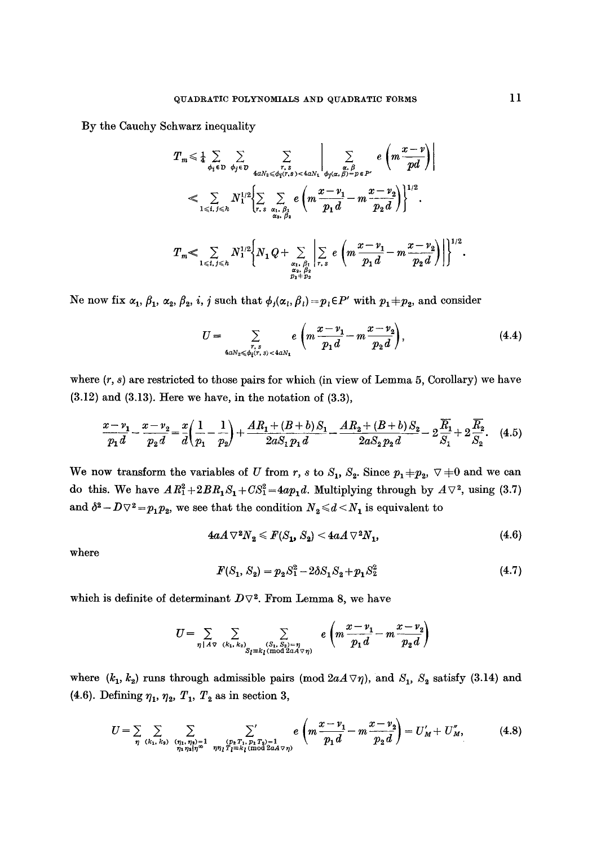By the Cauchy Schwarz inequality

$$
T_m \leq \frac{1}{4} \sum_{\phi_i \in D} \sum_{\phi_j \in D} \sum_{\substack{r,s \ z_0/\{r,s\} < 4aN_1 \\ 4aN_2 \leq \phi_1(r,s) < 4aN_1}} \sum_{\substack{\alpha,\beta \ \alpha,\beta \ \alpha,\beta \ \alpha,\beta \ \alpha,\beta \ \alpha \ \beta \ \gamma \ \alpha}} e\left(m \frac{x-y}{pd}\right) \Bigg|
$$
\n
$$
\leq \sum_{1 \leq l,\, j \leq n} N_1^{1/2} \Biggl\{ \sum_{r,s} \sum_{\substack{\alpha_1,\beta_1 \\ \alpha_2,\beta_2 \\ \alpha_3,\beta \ \alpha}} e\left(m \frac{x-y_1}{p_1 d} - m \frac{x-y_2}{p_2 d}\right) \Biggr\}^{1/2}.
$$
\n
$$
T_m \leq \sum_{\substack{\alpha_1,\beta_1 \\ \alpha_2,\beta_2 \\ \alpha_3,\beta_3 \\ \alpha_4,\beta_1 \\ \alpha_5,\beta_6}} \Biggl| \sum_{r,s} e\left(m \frac{x-y_1}{p_1 d} - m \frac{x-y_2}{p_2 d}\right) \Biggr\}^{1/2}.
$$

Ne now fix  $\alpha_1, \beta_1, \alpha_2, \beta_2, i, j$  such that  $\phi_j(\alpha_i, \beta_i)=p_i\in P'$  with  $p_1+p_2$ , and consider

$$
U = \sum_{\substack{r, s \\ 4aN_2 \leqslant \phi_i(r, s) < 4aN_1}} e\left(m\frac{x - v_1}{p_1 d} - m\frac{x - v_2}{p_2 d}\right),\tag{4.4}
$$

where  $(r, s)$  are restricted to those pairs for which (in view of Lemma 5, Corollary) we have  $(3.12)$  and  $(3.13)$ . Here we have, in the notation of  $(3.3)$ ,

$$
\frac{x - \nu_1}{p_1 d} - \frac{x - \nu_2}{p_2 d} = \frac{x}{d} \left( \frac{1}{p_1} - \frac{1}{p_2} \right) + \frac{A R_1 + (B + b) S_1}{2 a S_1 p_1 d} - \frac{A R_2 + (B + b) S_2}{2 a S_2 p_2 d} - 2 \frac{\overline{R}_1}{S_1} + 2 \frac{\overline{R}_2}{S_2}.
$$
 (4.5)

We now transform the variables of U from r, s to  $S_1$ ,  $S_2$ . Since  $p_1 + p_2$ ,  $\nabla + 0$  and we can do this. We have  $AR_1^2+2BR_1S_1+CS_1^2=4ap_1d$ . Multiplying through by  $A\nabla^2$ , using (3.7) and  $\delta^2 - D\nabla^2 = p_1p_2$ , we see that the condition  $N_2 \le d \le N_1$  is equivalent to

$$
4aA\,\nabla^2 N_2 \leqslant F(S_1, S_2) < 4aA\,\nabla^2 N_1,\tag{4.6}
$$

where

$$
F(S_1, S_2) = p_2 S_1^2 - 2\delta S_1 S_2 + p_1 S_2^2 \tag{4.7}
$$

which is definite of determinant  $D\nabla^2$ . From Lemma 8, we have

$$
U = \sum_{\eta \mid A\sigma} \sum_{(k_1, k_2)} \sum_{(S_1, S_2) = \eta \atop S_l \equiv k_l \pmod{2aA\sigma\eta}} e\left(m\frac{x - \nu_1}{p_1 d} - m\frac{x - \nu_2}{p_2 d}\right)
$$

where  $(k_1, k_2)$  runs through admissible pairs (mod  $2aA\nabla\eta$ ), and  $S_1$ ,  $S_2$  satisfy (3.14) and (4.6). Defining  $\eta_1$ ,  $\eta_2$ ,  $T_1$ ,  $T_2$  as in section 3,

$$
U = \sum_{\eta} \sum_{(k_1, k_2)} \sum_{(n_1, n_2) = 1 \atop n_1 n_2 | n_1^n} \sum_{\substack{(p_2, p_1, p_2) = 1 \ n_1 p_1^2 \equiv k_1 \pmod{2aA \vee \eta}}} e\left(m \frac{x - \nu_1}{p_1 d} - m \frac{x - \nu_2}{p_2 d}\right) = U'_M + U''_M,
$$
(4.8)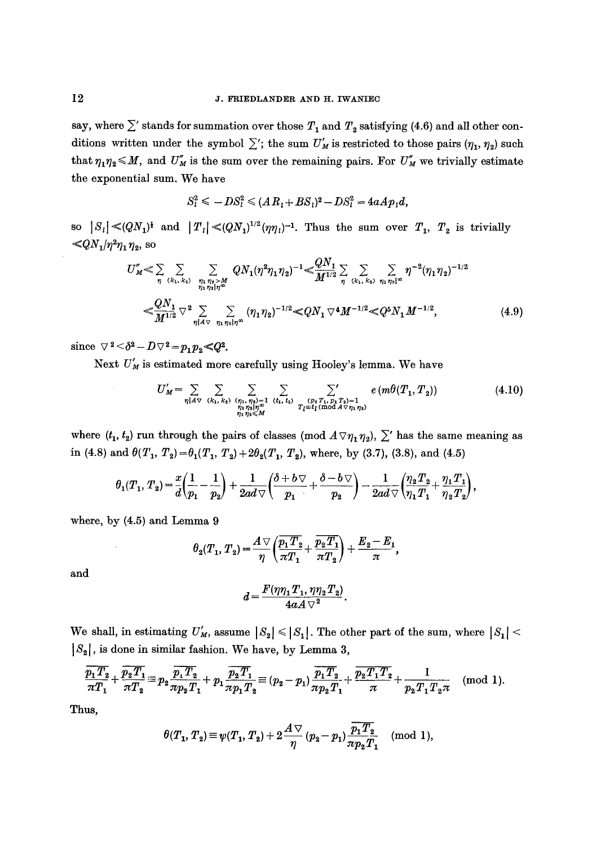say, where  $\sum'$  stands for summation over those  $T_1$  and  $T_2$  satisfying (4.6) and all other conditions written under the symbol  $\sum'$ ; the sum  $U'_M$  is restricted to those pairs  $(\eta_1, \eta_2)$  such that  $\eta_1\eta_2 \leq M$ , and  $U''_M$  is the sum over the remaining pairs. For  $U''_M$  we trivially estimate the exponential sum. We have

$$
S_l^2 \le -DS_l^2 \le (AR_l + BS_l)^2 - DS_l^2 = 4aAp_l d,
$$

so  $|S_1| \ll (QN_1)^t$  and  $|T_1| \ll (QN_1)^{1/2}(\eta\eta_1)^{-1}$ . Thus the sum over  $T_1$ ,  $T_2$  is trivially  $\ll QN_1/\eta^2\eta_1\eta_2$ , so

$$
U''_{M} \leq \sum_{\eta} \sum_{(k_1, k_2)} \sum_{\substack{\eta_1 \eta_2 > M \\ \eta_1 \eta_2 | \eta_2}} Q N_1 (\eta^2 \eta_1 \eta_2)^{-1} \leq \frac{Q N_1}{M^{1/2}} \sum_{\eta} \sum_{(k_1, k_2)} \sum_{\eta_1 \eta_2 | \eta_2} \eta^{-2} (\eta_1 \eta_2)^{-1/2}
$$
  

$$
\leq \frac{Q N_1}{M^{1/2}} \nabla^2 \sum_{\eta | A \tau} \sum_{\eta_1 \eta_2 | \eta_2} (\eta_1 \eta_2)^{-1/2} \leq Q N_1 \nabla^4 M^{-1/2} \leq Q^5 N_1 M^{-1/2}, \qquad (4.9)
$$

since  $\nabla^2 < \delta^2 - D \nabla^2 = p_1 p_2 < Q^2$ .

Next  $U'_{M}$  is estimated more carefully using Hooley's lemma. We have

$$
U'_{M} = \sum_{\eta | A \vee (k_{1}, k_{2})} \sum_{\substack{(\eta_{1}, \eta_{2}) = 1 \ (l_{1}, l_{2}) \ (l_{2}, l_{1}, l_{2}) \ (l_{2}, l_{1}, l_{2}) \ (l_{2}, l_{1}, l_{2}) \ (l_{2}, l_{1}, l_{2}) \ (l_{2}, l_{2}) \ (l_{2}, l_{2}) \ (l_{2}, l_{2})}} \sum_{\substack{(\eta, \eta_{1}, \eta_{2}) = 1 \ (l_{1}, l_{2}) \ (l_{1}, l_{2}) \ (l_{2}, l_{2}) \ (l_{2}, l_{2}) \ (l_{2}, l_{2}) \ (l_{2}, l_{2}) \ (l_{2}, l_{2}) \ (l_{2}, l_{2}) \ (l_{2}, l_{2}) \ (l_{2}, l_{2}) \ (l_{2}, l_{2}) \ (l_{2}, l_{2}) \ (l_{2}, l_{2}) \ (l_{2}, l_{2}) \ (l_{2}, l_{2}) \ (l_{2}, l_{2}) \ (l_{2}, l_{2}) \ (l_{2}, l_{2}) \ (l_{2}, l_{2}) \ (l_{2}, l_{2}) \ (l_{2}, l_{2}) \ (l_{2}, l_{2}) \ (l_{2}, l_{2}) \ (l_{2}, l_{2}) \ (l_{2}, l_{2}) \ (l_{2}, l_{2}) \ (l_{2}, l_{2}) \ (l_{2}, l_{2}) \ (l_{2}, l_{2}) \ (l_{2}, l_{2}) \ (l_{2}, l_{2}) \ (l_{2}, l_{2}) \ (l_{2}, l_{2}) \ (l_{2}, l_{2}) \ (l_{2}, l_{2}) \ (l_{2}, l_{2}) \ (l_{2}, l_{2}) \ (l_{2}, l_{2}) \ (l_{2}, l_{2}) \ (l_{2}, l_{2}) \ (l_{2}, l_{2}) \ (l_{2}, l_{2}) \ (l_{2}, l_{2}) \ (l_{2}, l_{2}) \ (l_{2}, l_{2}) \ (l_{2}, l_{2}) \ (l_{2}, l_{2}) \ (l_{2}, l_{2}) \ (l_{2}, l_{2}) \ (l_{2}, l_{2}) \ (l_{2}, l_{2}) \ (l_{2}, l_{2}) \ (l_{2}, l_{2}) \ (l_{2}, l_{2}) \ (l_{2}, l_{2}) \ (l_{2}, l_{2}) \ (l_{2}, l_{2}) \ (l_{2}, l_{2}) \ (l_{2}, l_{2}) \ (l
$$

where  $(t_1, t_2)$  run through the pairs of classes (mod  $A \triangledown_{\eta_1 \eta_2}$ ),  $\Sigma'$  has the same meaning as in (4.8) and  $\theta(T_1, T_2) = \theta_1(T_1, T_2) + 2\theta_2(T_1, T_2)$ , where, by (3.7), (3.8), and (4.5)

$$
\theta_1(T_1, T_2) = \frac{x}{d} \left( \frac{1}{p_1} - \frac{1}{p_2} \right) + \frac{1}{2ad\sqrt{\pi}} \left( \frac{\delta + b\sqrt{\pi}}{p_1} + \frac{\delta - b\sqrt{\pi}}{p_2} \right) - \frac{1}{2ad\sqrt{\pi}} \left( \frac{\eta_2 T_2}{\eta_1 T_1} + \frac{\eta_1 T_1}{\eta_2 T_2} \right),
$$

where, by (4.5) and Lemma 9

$$
\theta_2(T_1, T_2) = \frac{A \nabla}{\eta} \left( \frac{\overline{p_1 T_2}}{\pi T_1} + \frac{\overline{p_2 T_1}}{\pi T_2} \right) + \frac{E_2 - E_1}{\pi},
$$

and

$$
d=\frac{F(\eta\eta_1T_1,\eta\eta_2T_2)}{4aA\sqrt{2}}.
$$

We shall, in estimating  $U'_M$ , assume  $|S_2| \leq |S_1|$ . The other part of the sum, where  $|S_1|$  < **[\$2[,** is done in similar fashion. We have, by Lemma **3,** 

$$
\frac{\overline{p_1 T_2}}{\pi T_1} + \frac{\overline{p_2 T_1}}{\pi T_2} \equiv p_2 \frac{\overline{p_1 T_2}}{\pi p_2 T_1} + p_1 \frac{\overline{p_2 T_1}}{\pi p_1 T_2} \equiv (p_2 - p_1) \frac{\overline{p_1 T_2}}{\pi p_2 T_1} + \frac{\overline{p_2 T_1 T_2}}{\pi} + \frac{1}{p_2 T_1 T_2 \pi} \pmod{1}.
$$

Thus,

$$
\theta(T_1, T_2) \equiv \psi(T_1, T_2) + 2\frac{A\,\triangledown}{\eta} (p_2 - p_1) \frac{\overline{p_1T_2}}{\pi p_2T_1} \pmod{1},
$$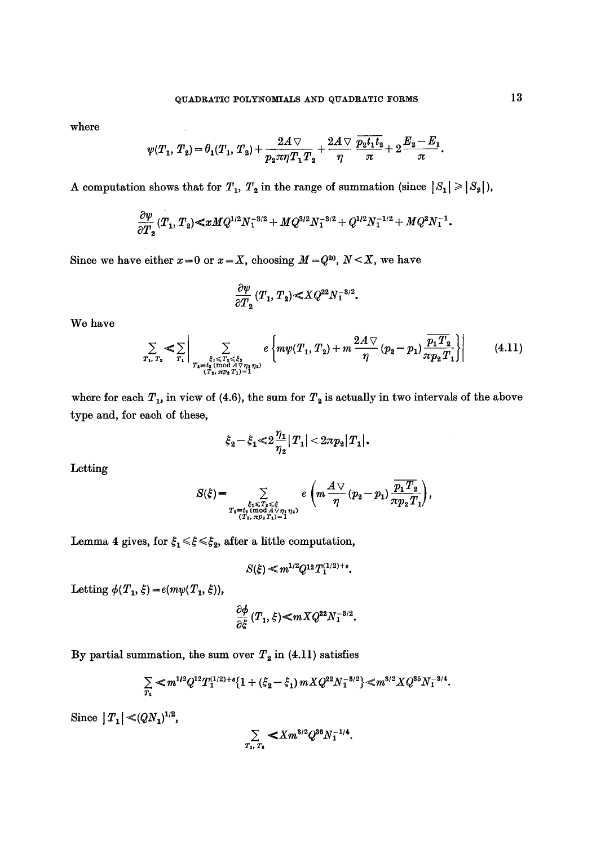where

$$
\psi(T_1,\,T_2)=\theta_1(T_1,\,T_2)+\frac{2A\,\triangledown}{p_2\pi\eta\,T_1\,T_2}+\frac{2A\,\triangledown}{\eta}\,\frac{\overline{p_2t_1t_2}}{\pi}+2\,\frac{E_2-E_1}{\pi}.
$$

A computation shows that for  $T_1$ ,  $T_2$  in the range of summation (since  $|S_1| \geq |S_2|$ ),

$$
\frac{\partial \psi}{\partial T_2} (T_1, T_2) \ll x M Q^{1/2} N_1^{-3/2} + M Q^{3/2} N_1^{-3/2} + Q^{1/2} N_1^{-1/2} + M Q^2 N_1^{-1}.
$$

Since we have either  $x=0$  or  $x=X$ , choosing  $M=Q^{20}$ ,  $N\leq X$ , we have

 $\sim 10^7$ 

$$
\frac{\partial \psi}{\partial T_2}(T_1,T_2){\displaystyle \ll}XQ^{22}N_1^{-3/2}.
$$

We have

$$
\sum_{T_1, T_2} < \sum_{T_1} \left| \sum_{\substack{\xi_1 \leq T_2 \leq \xi_2 \\ T_3 = t_2 \text{ (mod } \mathcal{N} \\ (T_2, \pi p_2 T_1) = 1}} e\left\{ m\psi(T_1, T_2) + m \frac{2A \vee}{\eta} (p_2 - p_1) \frac{\overline{p_1 T_2}}{\pi p_2 T_1} \right\} \right| \tag{4.11}
$$

where for each  $T_1$ , in view of (4.6), the sum for  $T_2$  is actually in two intervals of the above type and, for each of these,

$$
\xi_2-\xi_1\!\!<\!2\frac{\eta_1}{\eta_2}|T_1|\!<\!2\pi p_2|T_1|.
$$

Letting

$$
S(\xi)=\sum_{T_2\in\mathcal{F}_1\atop{(T_2,\pi p_2T_1)=1}}e\left(m\frac{A\bigtriangledown}{\eta}(p_2-p_1)\frac{\overline{p_1T_2}}{\pi p_2T_1}\right),
$$

Lemma 4 gives, for  $\xi_1 \leq \xi \leq \xi_2$ , after a little computation,

$$
S(\xi) \ll m^{1/2} Q^{12} T_1^{(1/2)+\varepsilon}.
$$

Letting  $\phi(T_1, \xi) = e(m\psi(T_1, \xi)),$ 

$$
\frac{\partial \phi}{\partial \xi} (T_1,\xi) \!\! < \!\! mX Q^{22} N_1^{-3/2}.
$$

By partial summation, the sum over  $T_2$  in (4.11) satisfies

$$
\sum_{T_2} \ll m^{1/2} Q^{12} T_1^{(1/2)+\epsilon} \{1+(\xi_2-\xi_1) m X Q^{22} N_1^{-3/2}\} \ll m^{3/2} X Q^{35} N_1^{-3/4}.
$$

Since  $|T_1| \ll (QN_1)^{1/2}$ ,

$$
\sum_{T_1, T_2} < X m^{3/2} Q^{36} N_1^{-1/4}.
$$

J.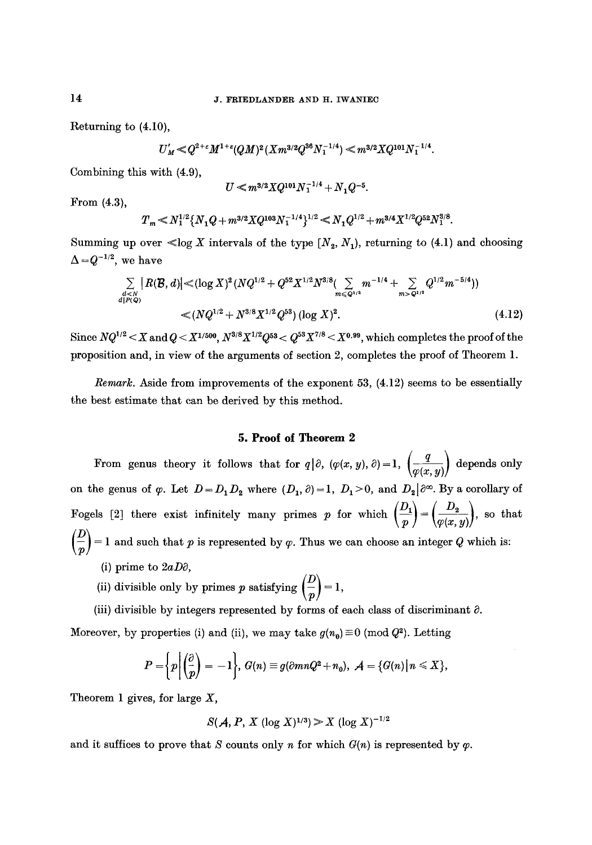Returning to (4.10),

$$
U'_M\ll Q^{2+\epsilon}M^{1+\epsilon}(QM)^2(Xm^{3/2}Q^{36}N_1^{-1/4})\ll m^{3/2}XQ^{101}N_1^{-1/4}.
$$

Combining this with (4.9),

$$
U \ll m^{3/2} X Q^{101} N_1^{-1/4} + N_1 Q^{-5}.
$$

From (4.3),

$$
T_m\!<\!N_1^{1/2}\{N_1Q+m^{3/2}XQ^{103}N_1^{-1/4}\}^{1/2}\!<\!N_1Q^{1/2}\!+\!m^{3/4}X^{1/2}Q^{52}N_1^{3/8}.
$$

Summing up over  $\ll$ log X intervals of the type  $[N_2, N_1)$ , returning to (4.1) and choosing  $\Delta \!=\! Q^{-1/2},$  we have

$$
\sum_{\substack{d < N \\ d \mid P(Q)}} |R(\mathcal{B}, d)| \leq (\log X)^2 (NQ^{1/2} + Q^{52} X^{1/2} N^{3/8} (\sum_{m \leq Q^{1/2}} m^{-1/4} + \sum_{m > Q^{1/2}} Q^{1/2} m^{-5/4}))
$$
  

$$
\leq (NQ^{1/2} + N^{3/8} X^{1/2} Q^{53}) (\log X)^2.
$$
 (4.12)

Since  $NQ^{1/2} < X$  and  $Q < X^{1/500}$ ,  $N^{3/8}X^{1/2}Q^{53} < Q^{53}X^{7/8} < X^{0.99}$ , which completes the proof of the proposition and, in view of the arguments of section 2, completes the proof of Theorem 1.

*Remark.* Aside from improvements of the exponent 53, (4.12) seems to be essentially the best estimate that can be derived by this method.

#### **5. Proof of Theorem 2**

From genus theory it follows that for  $q\vert \partial$ ,  $(\varphi(x, y), \partial) = 1$ ,  $\left(\frac{q}{\varphi(x, y)}\right)$  depends only on the genus of  $\varphi$ . Let  $D = D_1 D_2$  where  $(D_1, \partial) = 1$ ,  $D_1 > 0$ , and  $D_2 | \partial^{\infty}$ . By a corollary of Fogels [2] there exist infinitely many primes p for which  $\left(\frac{D_1}{p}\right) = \left(\frac{D_2}{\varphi(x,y)}\right)$ , so that  $\left(\frac{D}{p}\right)=1$  and such that p is represented by  $\varphi$ . Thus we can choose an integer Q which is: (i) prime to *2aDO,* 

(ii) divisible only by primes p satisfying  $\left(\frac{D}{p}\right) = 1$ ,

(iii) divisible by integers represented by forms of each class of discriminant  $\partial$ . Moreover, by properties (i) and (ii), we may take  $g(n_0) \equiv 0 \pmod{Q^2}$ . Letting

$$
P=\bigg\{p\bigg|\bigg(\frac{\partial}{p}\bigg)=-1\bigg\},\ G(n)\equiv g(\partial mnQ^2+n_0),\ \mathcal{A}=\{G(n)\big|\,n\leq X\},\
$$

Theorem 1 gives, for large  $X$ ,

$$
S(A, P, X (\log X)^{1/3}) \ge X (\log X)^{-1/2}
$$

and it suffices to prove that S counts only n for which  $G(n)$  is represented by  $\varphi$ .